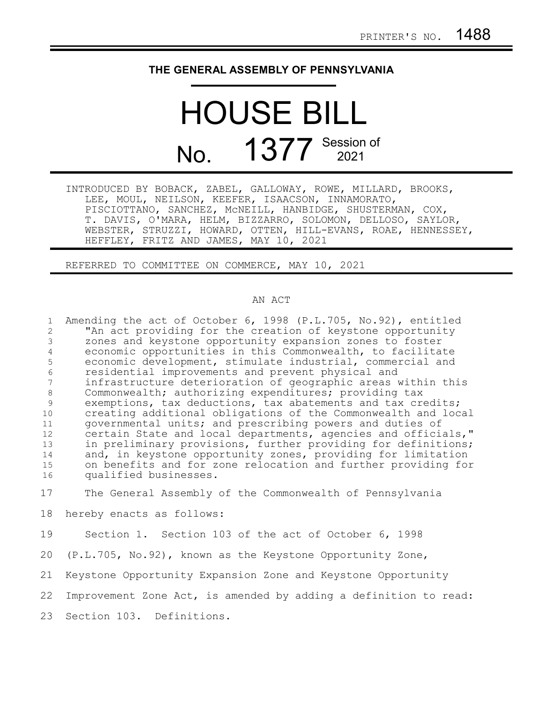## **THE GENERAL ASSEMBLY OF PENNSYLVANIA**

## HOUSE BILL No. 1377 Session of

|                                                   | INTRODUCED BY BOBACK, ZABEL, GALLOWAY, ROWE, MILLARD, BROOKS, |
|---------------------------------------------------|---------------------------------------------------------------|
| LEE, MOUL, NEILSON, KEEFER, ISAACSON, INNAMORATO, |                                                               |
|                                                   | PISCIOTTANO, SANCHEZ, MCNEILL, HANBIDGE, SHUSTERMAN, COX,     |
|                                                   | T. DAVIS, O'MARA, HELM, BIZZARRO, SOLOMON, DELLOSO, SAYLOR,   |
|                                                   | WEBSTER, STRUZZI, HOWARD, OTTEN, HILL-EVANS, ROAE, HENNESSEY, |
| HEFFLEY, FRITZ AND JAMES, MAY 10, 2021            |                                                               |

REFERRED TO COMMITTEE ON COMMERCE, MAY 10, 2021

## AN ACT

Amending the act of October 6, 1998 (P.L.705, No.92), entitled "An act providing for the creation of keystone opportunity zones and keystone opportunity expansion zones to foster economic opportunities in this Commonwealth, to facilitate economic development, stimulate industrial, commercial and residential improvements and prevent physical and infrastructure deterioration of geographic areas within this Commonwealth; authorizing expenditures; providing tax exemptions, tax deductions, tax abatements and tax credits; creating additional obligations of the Commonwealth and local governmental units; and prescribing powers and duties of certain State and local departments, agencies and officials," in preliminary provisions, further providing for definitions; and, in keystone opportunity zones, providing for limitation on benefits and for zone relocation and further providing for qualified businesses. 1 2 3 4 5 6 7 8 9 10 11 12 13 14 15 16

The General Assembly of the Commonwealth of Pennsylvania 17

hereby enacts as follows: 18

Section 1. Section 103 of the act of October 6, 1998 (P.L.705, No.92), known as the Keystone Opportunity Zone, Keystone Opportunity Expansion Zone and Keystone Opportunity Improvement Zone Act, is amended by adding a definition to read: Section 103. Definitions. 19 20 21 22 23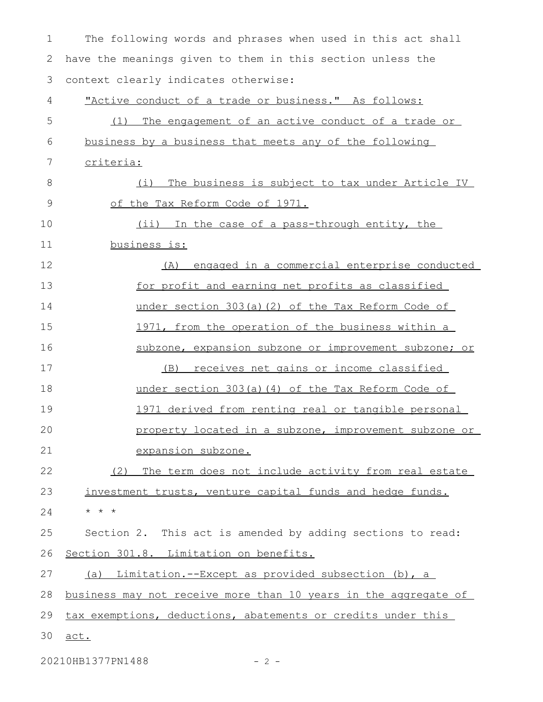The following words and phrases when used in this act shall have the meanings given to them in this section unless the context clearly indicates otherwise: "Active conduct of a trade or business." As follows: (1) The engagement of an active conduct of a trade or business by a business that meets any of the following criteria: (i) The business is subject to tax under Article IV of the Tax Reform Code of 1971. (ii) In the case of a pass-through entity, the business is: (A) engaged in a commercial enterprise conducted for profit and earning net profits as classified under section 303(a)(2) of the Tax Reform Code of 1971, from the operation of the business within a subzone, expansion subzone or improvement subzone; or (B) receives net gains or income classified under section 303(a)(4) of the Tax Reform Code of 1971 derived from renting real or tangible personal property located in a subzone, improvement subzone or expansion subzone. (2) The term does not include activity from real estate investment trusts, venture capital funds and hedge funds. \* \* \* Section 2. This act is amended by adding sections to read: Section 301.8. Limitation on benefits. (a) Limitation.--Except as provided subsection (b), a business may not receive more than 10 years in the aggregate of tax exemptions, deductions, abatements or credits under this act. 1 2 3 4 5 6 7 8 9 10 11 12 13 14 15 16 17 18 19 20 21 22 23 24 25 26 27 28 29 30

20210HB1377PN1488 - 2 -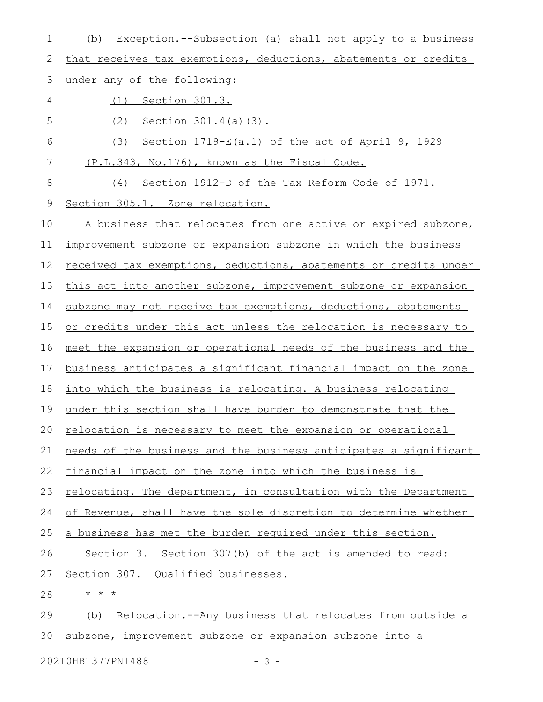| 1           | Exception.--Subsection (a) shall not apply to a business<br>(b)  |
|-------------|------------------------------------------------------------------|
| 2           | that receives tax exemptions, deductions, abatements or credits  |
| 3           | under any of the following:                                      |
| 4           | <u>Section 301.3.</u><br>(1)                                     |
| 5           | (2)<br><u>Section 301.4(a)(3).</u>                               |
| 6           | (3)<br>Section 1719-E(a.1) of the act of April 9, 1929           |
| 7           | <u>(P.L.343, No.176), known as the Fiscal Code.</u>              |
| 8           | (4) Section 1912-D of the Tax Reform Code of 1971.               |
| $\mathsf 9$ | Section 305.1. Zone relocation.                                  |
| 10          | A business that relocates from one active or expired subzone,    |
| 11          | improvement subzone or expansion subzone in which the business   |
| 12          | received tax exemptions, deductions, abatements or credits under |
| 13          | this act into another subzone, improvement subzone or expansion  |
| 14          | subzone may not receive tax exemptions, deductions, abatements   |
| 15          | or credits under this act unless the relocation is necessary to  |
| 16          | meet the expansion or operational needs of the business and the  |
| 17          | business anticipates a significant financial impact on the zone  |
| 18          | into which the business is relocating. A business relocating     |
| 19          | under this section shall have burden to demonstrate that the     |
|             | 20 relocation is necessary to meet the expansion or operational  |
| 21          | needs of the business and the business anticipates a significant |
| 22          | financial impact on the zone into which the business is          |
| 23          | relocating. The department, in consultation with the Department  |
| 24          | of Revenue, shall have the sole discretion to determine whether  |
| 25          | a business has met the burden required under this section.       |
| 26          | Section 3. Section 307(b) of the act is amended to read:         |
| 27          | Section 307. Qualified businesses.                               |
| 28          | $\star$ $\star$ $\star$                                          |
| 29          | Relocation.--Any business that relocates from outside a<br>(b)   |
| 30          | subzone, improvement subzone or expansion subzone into a         |

20210HB1377PN1488 - 3 -